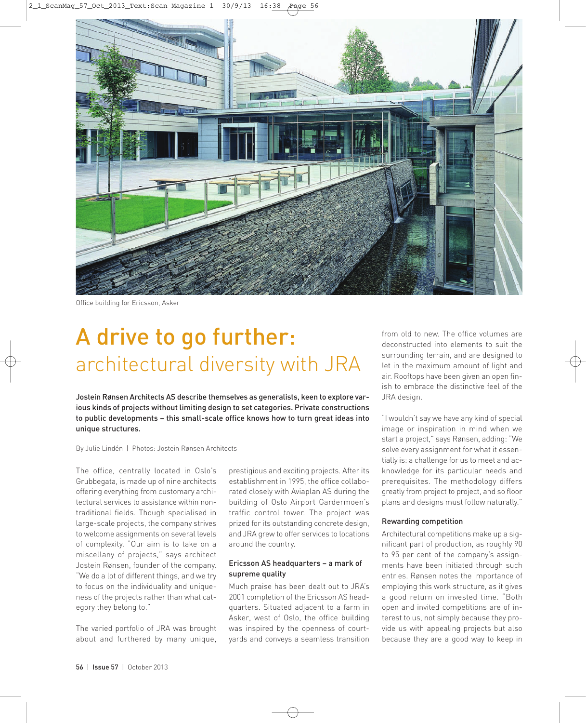

Office building for Ericsson, Asker

## A drive to go further: architectural diversity with JRA

Jostein Rønsen Architects AS describe themselves as generalists, keen to explore various kinds of projects without limiting design to set categories. Private constructions to public developments – this small-scale office knows how to turn great ideas into unique structures.

By Julie Lindén | Photos: Jostein Rønsen Architects

The office, centrally located in Oslo's Grubbegata, is made up of nine architects offering everything from customary architectural services to assistance within nontraditional fields. Though specialised in large-scale projects, the company strives to welcome assignments on several levels of complexity. "Our aim is to take on a miscellany of projects," says architect Jostein Rønsen, founder of the company. "We do a lot of different things, and we try to focus on the individuality and uniqueness of the projects rather than what category they belong to."

The varied portfolio of JRA was brought about and furthered by many unique,

prestigious and exciting projects. After its establishment in 1995, the office collaborated closely with Aviaplan AS during the building of Oslo Airport Gardermoen's traffic control tower. The project was prized for its outstanding concrete design, and JRA grew to offer services to locations around the country.

## Ericsson AS headquarters – a mark of supreme quality

Much praise has been dealt out to JRA's 2001 completion of the Ericsson AS headquarters. Situated adjacent to a farm in Asker, west of Oslo, the office building was inspired by the openness of courtyards and conveys a seamless transition from old to new. The office volumes are deconstructed into elements to suit the surrounding terrain, and are designed to let in the maximum amount of light and air. Rooftops have been given an open finish to embrace the distinctive feel of the JRA design.

"I wouldn't say we have any kind of special image or inspiration in mind when we start a project," says Rønsen, adding: "We solve every assignment for what it essentially is: a challenge for us to meet and acknowledge for its particular needs and prerequisites. The methodology differs greatly from project to project, and so floor plans and designs must follow naturally."

## Rewarding competition

Architectural competitions make up a significant part of production, as roughly 90 to 95 per cent of the company's assignments have been initiated through such entries. Rønsen notes the importance of employing this work structure, as it gives a good return on invested time. "Both open and invited competitions are of interest to us, not simply because they provide us with appealing projects but also because they are a good way to keep in